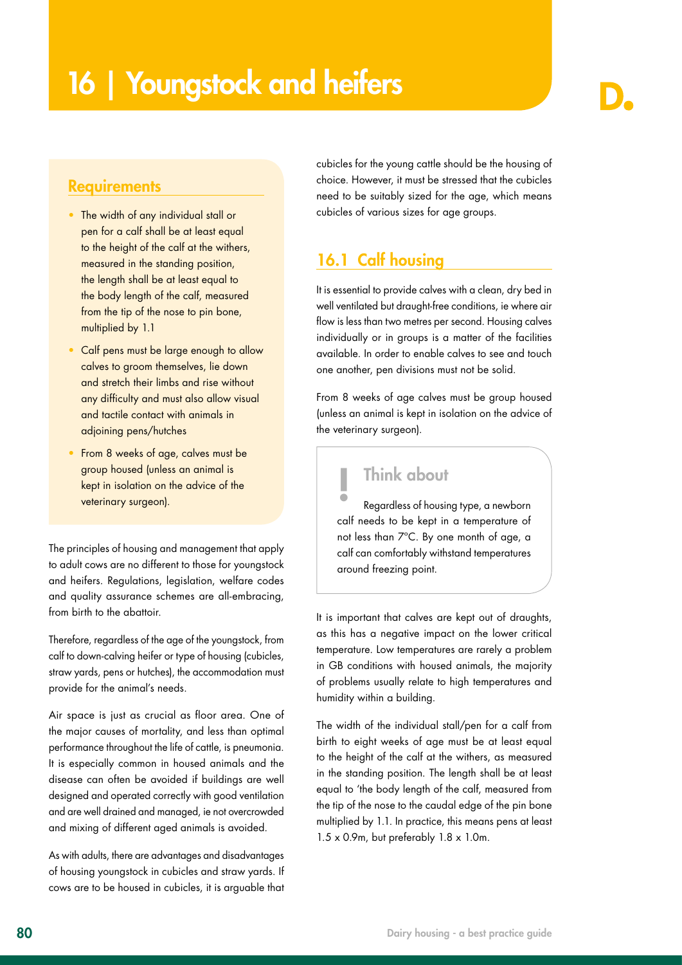### **Requirements**

- The width of any individual stall or pen for a calf shall be at least equal to the height of the calf at the withers, measured in the standing position, the length shall be at least equal to the body length of the calf, measured from the tip of the nose to pin bone. multiplied by 1.1
- Calf pens must be large enough to allow calves to groom themselves, lie down and stretch their limbs and rise without any difficulty and must also allow visual and tactile contact with animals in adjoining pens/hutches
- From 8 weeks of age, calves must be group housed (unless an animal is kept in isolation on the advice of the veterinary surgeon).

The principles of housing and management that apply to adult cows are no different to those for youngstock and heifers. Regulations, legislation, welfare codes and quality assurance schemes are all-embracing, from birth to the abattoir.

Therefore, regardless of the age of the youngstock, from calf to down-calving heifer or type of housing (cubicles, straw yards, pens or hutches), the accommodation must provide for the animal's needs.

Air space is just as crucial as floor area. One of the major causes of mortality, and less than optimal performance throughout the life of cattle, is pneumonia. It is especially common in housed animals and the disease can often be avoided if buildings are well designed and operated correctly with good ventilation and are well drained and managed, ie not overcrowded and mixing of different aged animals is avoided.

As with adults, there are advantages and disadvantages of housing youngstock in cubicles and straw yards. If cows are to be housed in cubicles, it is arguable that cubicles for the young cattle should be the housing of choice. However, it must be stressed that the cubicles need to be suitably sized for the age, which means cubicles of various sizes for age groups.

## 16.1 Calf housing

It is essential to provide calves with a clean, dry bed in well ventilated but draught-free conditions, ie where air flow is less than two metres per second. Housing calves individually or in groups is a matter of the facilities available. In order to enable calves to see and touch one another, pen divisions must not be solid.

From 8 weeks of age calves must be group housed (unless an animal is kept in isolation on the advice of the veterinary surgeon).

## **Think about**

Regardless of housing type, a newborn calf needs to be kept in a temperature of not less than 7ºC. By one month of age, a calf can comfortably withstand temperatures around freezing point.

It is important that calves are kept out of draughts, as this has a negative impact on the lower critical temperature. Low temperatures are rarely a problem in GB conditions with housed animals, the majority of problems usually relate to high temperatures and humidity within a building.

The width of the individual stall/pen for a calf from birth to eight weeks of age must be at least equal to the height of the calf at the withers, as measured in the standing position. The length shall be at least equal to 'the body length of the calf, measured from the tip of the nose to the caudal edge of the pin bone multiplied by 1.1. In practice, this means pens at least  $1.5 \times 0.9$ m, but preferably  $1.8 \times 1.0$ m.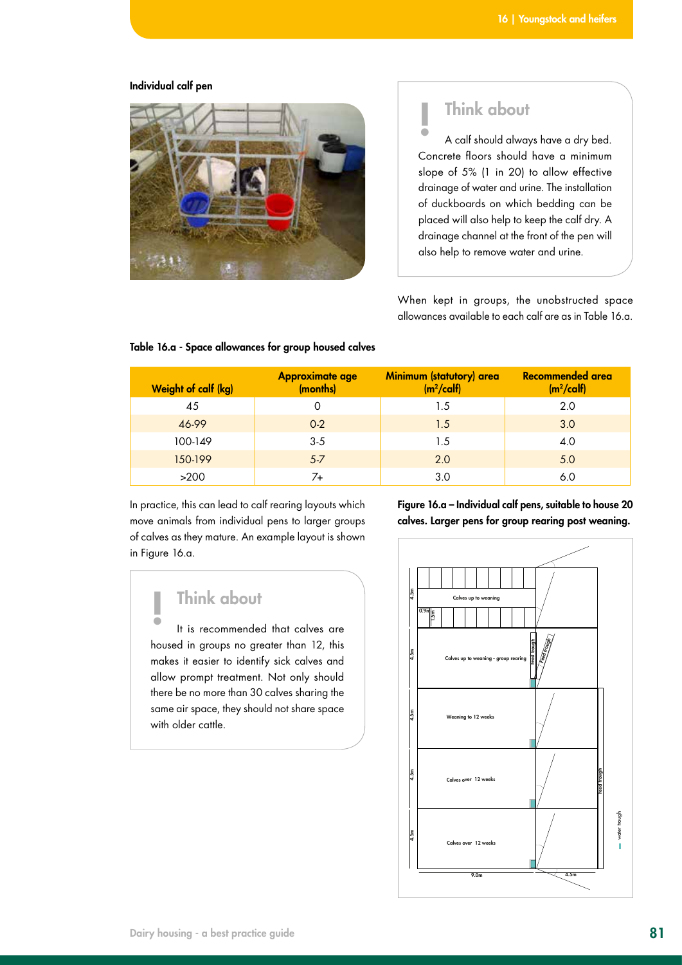#### Individual calf pen



# ! Think about

A calf should always have a dry bed. Concrete floors should have a minimum slope of 5% (1 in 20) to allow effective drainage of water and urine. The installation of duckboards on which bedding can be placed will also help to keep the calf dry. A drainage channel at the front of the pen will also help to remove water and urine.

When kept in groups, the unobstructed space allowances available to each calf are as in Table 16.a.

| <b>Weight of calf (kg)</b> | <b>Approximate age</b><br>(months) | Minimum (statutory) area<br>$(m2/\text{calf})$ | Recommended area<br>$(m2/\text{calf})$ |
|----------------------------|------------------------------------|------------------------------------------------|----------------------------------------|
| 45                         |                                    | 1.5                                            | 2.0                                    |
| 46-99                      | $0-2$                              | 1.5                                            | 3.0                                    |
| 100-149                    | $3-5$                              | 1.5                                            | 4.0                                    |
| 150-199                    | $5 - 7$                            | 2.0                                            | 5.0                                    |
| >200                       | 7+                                 | 3.0                                            | 6.0                                    |

#### Table 16.a - Space allowances for group housed calves

In practice, this can lead to calf rearing layouts which move animals from individual pens to larger groups of calves as they mature. An example layout is shown in Figure 16.a.

Figure 16.a – Individual calf pens, suitable to house 20 calves. Larger pens for group rearing post weaning.

# ! Think about

It is recommended that calves are housed in groups no greater than 12, this makes it easier to identify sick calves and allow prompt treatment. Not only should there be no more than 30 calves sharing the same air space, they should not share space with older cattle.

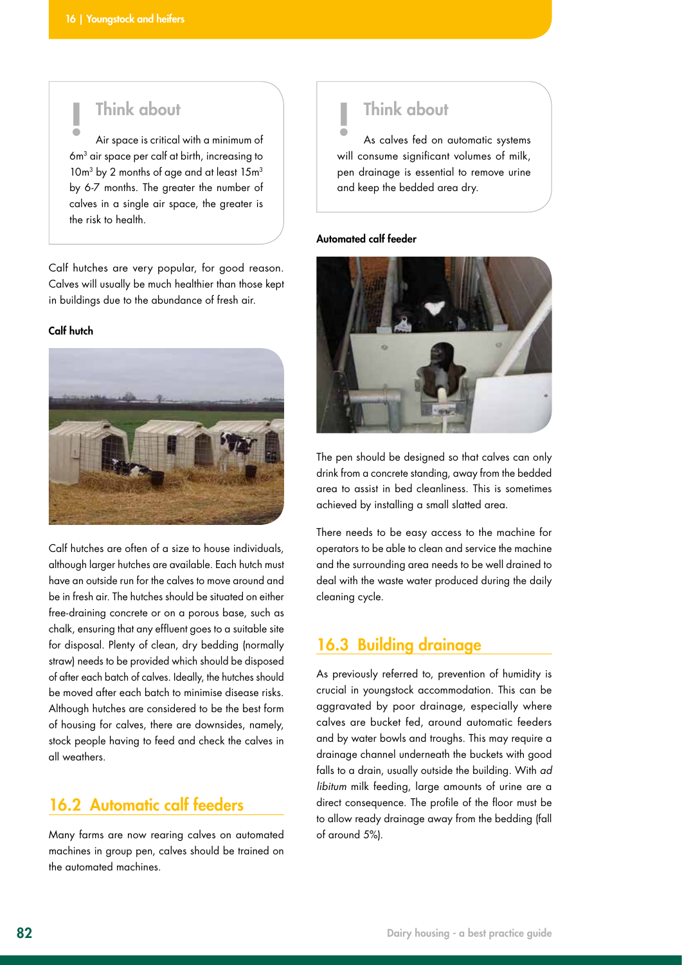# ! Think about

Air space is critical with a minimum of 6m<sup>3</sup> air space per calf at birth, increasing to 10m<sup>3</sup> by 2 months of age and at least 15m<sup>3</sup> by 6-7 months. The greater the number of calves in a single air space, the greater is the risk to health.

Calf hutches are very popular, for good reason. Calves will usually be much healthier than those kept in buildings due to the abundance of fresh air.

#### Calf hutch



Calf hutches are often of a size to house individuals, although larger hutches are available. Each hutch must have an outside run for the calves to move around and be in fresh air. The hutches should be situated on either free-draining concrete or on a porous base, such as chalk, ensuring that any effluent goes to a suitable site for disposal. Plenty of clean, dry bedding (normally straw) needs to be provided which should be disposed of after each batch of calves. Ideally, the hutches should be moved after each batch to minimise disease risks. Although hutches are considered to be the best form of housing for calves, there are downsides, namely, stock people having to feed and check the calves in all weathers.

## 16.2 Automatic calf feeders

Many farms are now rearing calves on automated machines in group pen, calves should be trained on the automated machines.

# ! Think about

As calves fed on automatic systems will consume significant volumes of milk, pen drainage is essential to remove urine and keep the bedded area dry.

#### Automated calf feeder



The pen should be designed so that calves can only drink from a concrete standing, away from the bedded area to assist in bed cleanliness. This is sometimes achieved by installing a small slatted area.

There needs to be easy access to the machine for operators to be able to clean and service the machine and the surrounding area needs to be well drained to deal with the waste water produced during the daily cleaning cycle.

### 16.3 Building drainage

As previously referred to, prevention of humidity is crucial in youngstock accommodation. This can be aggravated by poor drainage, especially where calves are bucket fed, around automatic feeders and by water bowls and troughs. This may require a drainage channel underneath the buckets with good falls to a drain, usually outside the building. With *ad libitum* milk feeding, large amounts of urine are a direct consequence. The profile of the floor must be to allow ready drainage away from the bedding (fall of around 5%).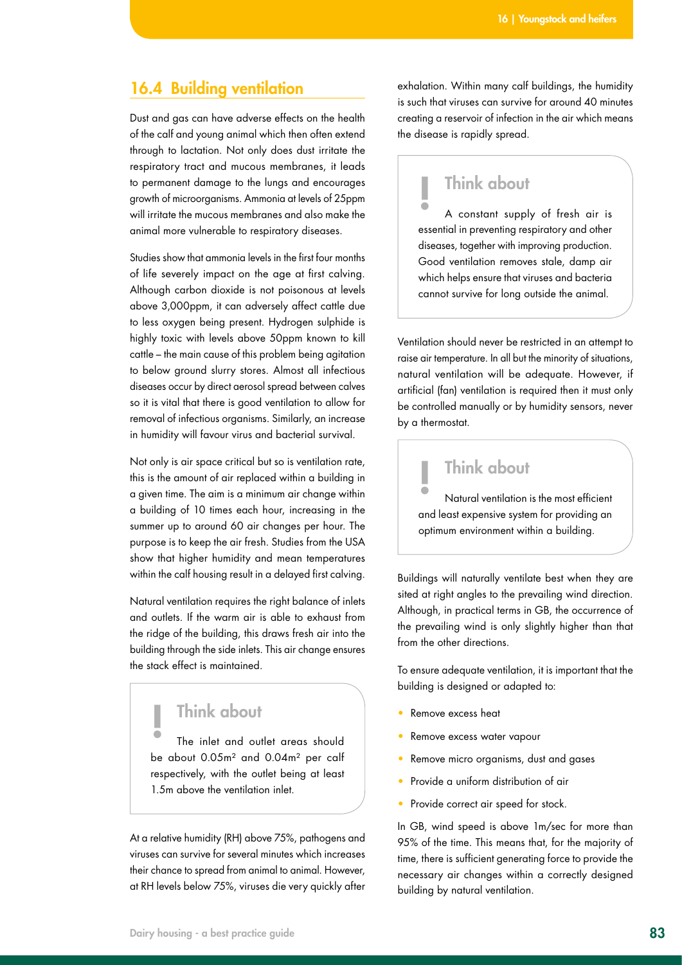### 16.4 Building ventilation

Dust and gas can have adverse effects on the health of the calf and young animal which then often extend through to lactation. Not only does dust irritate the respiratory tract and mucous membranes, it leads to permanent damage to the lungs and encourages growth of microorganisms. Ammonia at levels of 25ppm will irritate the mucous membranes and also make the animal more vulnerable to respiratory diseases.

Studies show that ammonia levels in the first four months of life severely impact on the age at first calving. Although carbon dioxide is not poisonous at levels above 3,000ppm, it can adversely affect cattle due to less oxygen being present. Hydrogen sulphide is highly toxic with levels above 50ppm known to kill cattle – the main cause of this problem being agitation to below ground slurry stores. Almost all infectious diseases occur by direct aerosol spread between calves so it is vital that there is good ventilation to allow for removal of infectious organisms. Similarly, an increase in humidity will favour virus and bacterial survival.

Not only is air space critical but so is ventilation rate, this is the amount of air replaced within a building in a given time. The aim is a minimum air change within a building of 10 times each hour, increasing in the summer up to around 60 air changes per hour. The purpose is to keep the air fresh. Studies from the USA show that higher humidity and mean temperatures within the calf housing result in a delayed first calving.

Natural ventilation requires the right balance of inlets and outlets. If the warm air is able to exhaust from the ridge of the building, this draws fresh air into the building through the side inlets. This air change ensures the stack effect is maintained.

## $\|$  Think about

The inlet and outlet areas should be about 0.05m² and 0.04m² per calf respectively, with the outlet being at least 1.5m above the ventilation inlet.

At a relative humidity (RH) above 75%, pathogens and viruses can survive for several minutes which increases their chance to spread from animal to animal. However, at RH levels below 75%, viruses die very quickly after

exhalation. Within many calf buildings, the humidity is such that viruses can survive for around 40 minutes creating a reservoir of infection in the air which means the disease is rapidly spread.

### **Think about**

A constant supply of fresh air is essential in preventing respiratory and other diseases, together with improving production. Good ventilation removes stale, damp air which helps ensure that viruses and bacteria cannot survive for long outside the animal.

Ventilation should never be restricted in an attempt to raise air temperature. In all but the minority of situations, natural ventilation will be adequate. However, if artificial (fan) ventilation is required then it must only be controlled manually or by humidity sensors, never by a thermostat.

# ! Think about

Natural ventilation is the most efficient and least expensive system for providing an optimum environment within a building.

Buildings will naturally ventilate best when they are sited at right angles to the prevailing wind direction. Although, in practical terms in GB, the occurrence of the prevailing wind is only slightly higher than that from the other directions.

To ensure adequate ventilation, it is important that the building is designed or adapted to:

- Remove excess heat
- Remove excess water vapour
- Remove micro organisms, dust and gases
- Provide a uniform distribution of air
- Provide correct air speed for stock.

In GB, wind speed is above 1m/sec for more than 95% of the time. This means that, for the majority of time, there is sufficient generating force to provide the necessary air changes within a correctly designed building by natural ventilation.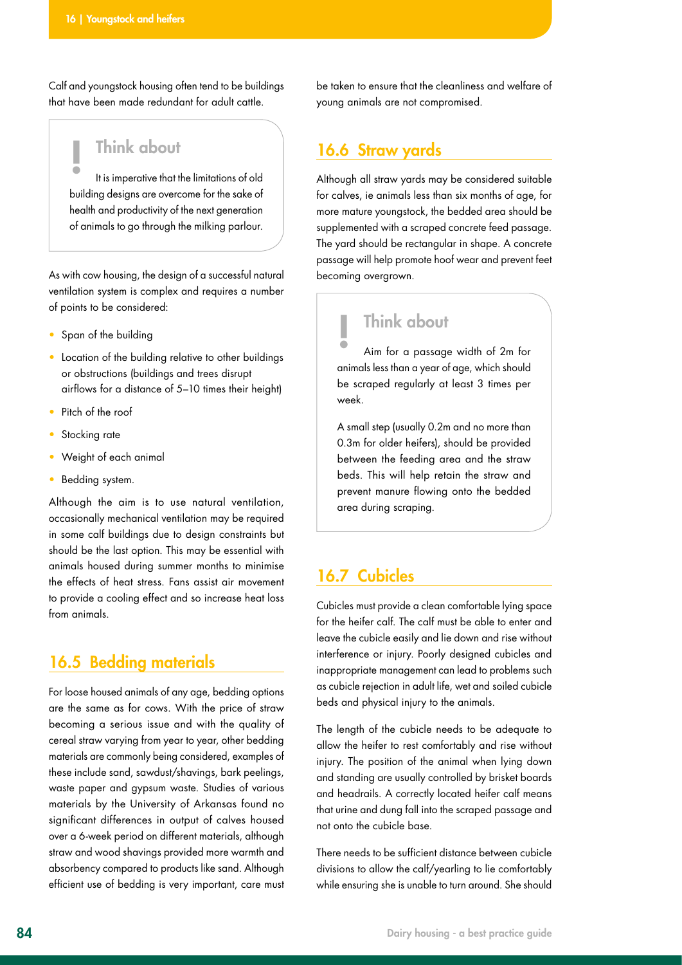Calf and youngstock housing often tend to be buildings that have been made redundant for adult cattle.

## $\|$  Think about

It is imperative that the limitations of old building designs are overcome for the sake of health and productivity of the next generation of animals to go through the milking parlour.

As with cow housing, the design of a successful natural ventilation system is complex and requires a number of points to be considered:

- Span of the building
- Location of the building relative to other buildings or obstructions (buildings and trees disrupt airflows for a distance of 5–10 times their height)
- Pitch of the roof
- Stocking rate
- Weight of each animal
- Beddina system.

Although the aim is to use natural ventilation, occasionally mechanical ventilation may be required in some calf buildings due to design constraints but should be the last option. This may be essential with animals housed during summer months to minimise the effects of heat stress. Fans assist air movement to provide a cooling effect and so increase heat loss from animals.

### 16.5 Bedding materials

For loose housed animals of any age, bedding options are the same as for cows. With the price of straw becoming a serious issue and with the quality of cereal straw varying from year to year, other bedding materials are commonly being considered, examples of these include sand, sawdust/shavings, bark peelings, waste paper and gypsum waste. Studies of various materials by the University of Arkansas found no significant differences in output of calves housed over a 6-week period on different materials, although straw and wood shavings provided more warmth and absorbency compared to products like sand. Although efficient use of bedding is very important, care must

be taken to ensure that the cleanliness and welfare of young animals are not compromised.

### 16.6 Straw yards

Although all straw yards may be considered suitable for calves, ie animals less than six months of age, for more mature youngstock, the bedded area should be supplemented with a scraped concrete feed passage. The yard should be rectangular in shape. A concrete passage will help promote hoof wear and prevent feet becoming overgrown.

## **Think about**

Aim for a passage width of 2m for animals less than a year of age, which should be scraped regularly at least 3 times per week.

A small step (usually 0.2m and no more than 0.3m for older heifers), should be provided between the feeding area and the straw beds. This will help retain the straw and prevent manure flowing onto the bedded area during scraping.

### 16.7 Cubicles

Cubicles must provide a clean comfortable lying space for the heifer calf. The calf must be able to enter and leave the cubicle easily and lie down and rise without interference or injury. Poorly designed cubicles and inappropriate management can lead to problems such as cubicle rejection in adult life, wet and soiled cubicle beds and physical injury to the animals.

The length of the cubicle needs to be adequate to allow the heifer to rest comfortably and rise without injury. The position of the animal when lying down and standing are usually controlled by brisket boards and headrails. A correctly located heifer calf means that urine and dung fall into the scraped passage and not onto the cubicle base.

There needs to be sufficient distance between cubicle divisions to allow the calf/yearling to lie comfortably while ensuring she is unable to turn around. She should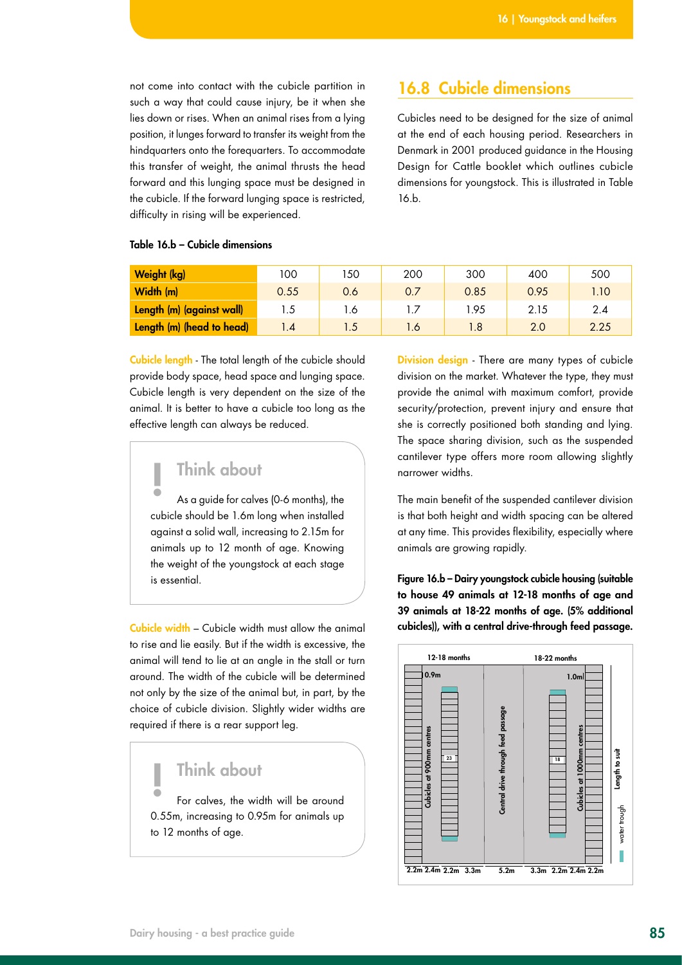not come into contact with the cubicle partition in such a way that could cause injury, be it when she lies down or rises. When an animal rises from a lying position, it lunges forward to transfer its weight from the hindquarters onto the forequarters. To accommodate this transfer of weight, the animal thrusts the head forward and this lunging space must be designed in the cubicle. If the forward lunging space is restricted, difficulty in rising will be experienced.

### 16.8 Cubicle dimensions

Cubicles need to be designed for the size of animal at the end of each housing period. Researchers in Denmark in 2001 produced guidance in the Housing Design for Cattle booklet which outlines cubicle dimensions for youngstock. This is illustrated in Table 16.b.

| Weight (kg)               | 100  | 150 | 200            | 300  | 400  | 500  |
|---------------------------|------|-----|----------------|------|------|------|
| Width (m)                 | 0.55 | 0.6 | 0.7            | 0.85 | 0.95 | 1.10 |
| Length (m) (against wall) | 1.5  | l.6 |                | l.95 | 2.15 | 2.4  |
| Length (m) (head to head) | .4   | 1.5 | $\overline{6}$ | 1.8  | 2.0  | 2.25 |

#### Table 16.b – Cubicle dimensions

Cubicle length - The total length of the cubicle should provide body space, head space and lunging space. Cubicle length is very dependent on the size of the animal. It is better to have a cubicle too long as the effective length can always be reduced.

# ! Think about

As a guide for calves (0-6 months), the cubicle should be 1.6m long when installed against a solid wall, increasing to 2.15m for animals up to 12 month of age. Knowing the weight of the youngstock at each stage is essential.

Cubicle width – Cubicle width must allow the animal to rise and lie easily. But if the width is excessive, the animal will tend to lie at an angle in the stall or turn around. The width of the cubicle will be determined not only by the size of the animal but, in part, by the choice of cubicle division. Slightly wider widths are required if there is a rear support leg.

### **Think about**

For calves, the width will be around 0.55m, increasing to 0.95m for animals up to 12 months of age.

Division design - There are many types of cubicle division on the market. Whatever the type, they must provide the animal with maximum comfort, provide security/protection, prevent injury and ensure that she is correctly positioned both standing and lying. The space sharing division, such as the suspended cantilever type offers more room allowing slightly narrower widths.

The main benefit of the suspended cantilever division is that both height and width spacing can be altered at any time. This provides flexibility, especially where animals are growing rapidly.

Figure 16.b – Dairy youngstock cubicle housing (suitable to house 49 animals at 12-18 months of age and 39 animals at 18-22 months of age. (5% additional cubicles)), with a central drive-through feed passage.